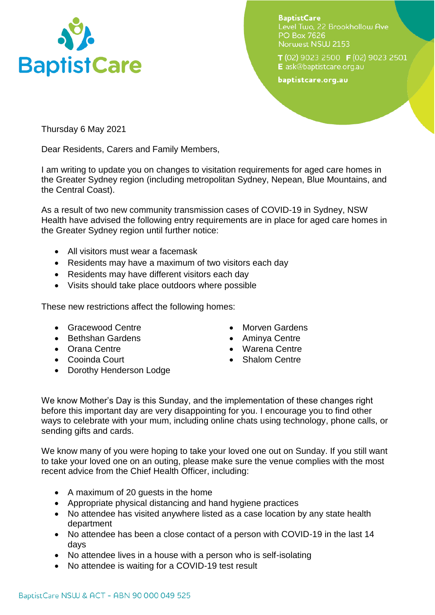

**BaptistCare** Level Two. 22 Brookhollow Ave **PO Box 7626** Norwest NSW 2153

T (02) 9023 2500 F (02) 9023 2501 E ask@baptistcare.org.au

baptistcare.org.au

Thursday 6 May 2021

Dear Residents, Carers and Family Members,

I am writing to update you on changes to visitation requirements for aged care homes in the Greater Sydney region (including metropolitan Sydney, Nepean, Blue Mountains, and the Central Coast).

As a result of two new community transmission cases of COVID-19 in Sydney, NSW Health have advised the following entry requirements are in place for aged care homes in the Greater Sydney region until further notice:

- All visitors must wear a facemask
- Residents may have a maximum of two visitors each day
- Residents may have different visitors each day
- Visits should take place outdoors where possible

These new restrictions affect the following homes:

- Gracewood Centre
- Bethshan Gardens
- Orana Centre
- Cooinda Court
- Dorothy Henderson Lodge
- Morven Gardens
- Aminya Centre
- Warena Centre
- Shalom Centre

We know Mother's Day is this Sunday, and the implementation of these changes right before this important day are very disappointing for you. I encourage you to find other ways to celebrate with your mum, including online chats using technology, phone calls, or sending gifts and cards.

We know many of you were hoping to take your loved one out on Sunday. If you still want to take your loved one on an outing, please make sure the venue complies with the most recent advice from the Chief Health Officer, including:

- A maximum of 20 quests in the home
- Appropriate physical distancing and hand hygiene practices
- No attendee has visited anywhere listed as a case location by any state health department
- No attendee has been a close contact of a person with COVID-19 in the last 14 days
- No attendee lives in a house with a person who is self-isolating
- No attendee is waiting for a COVID-19 test result